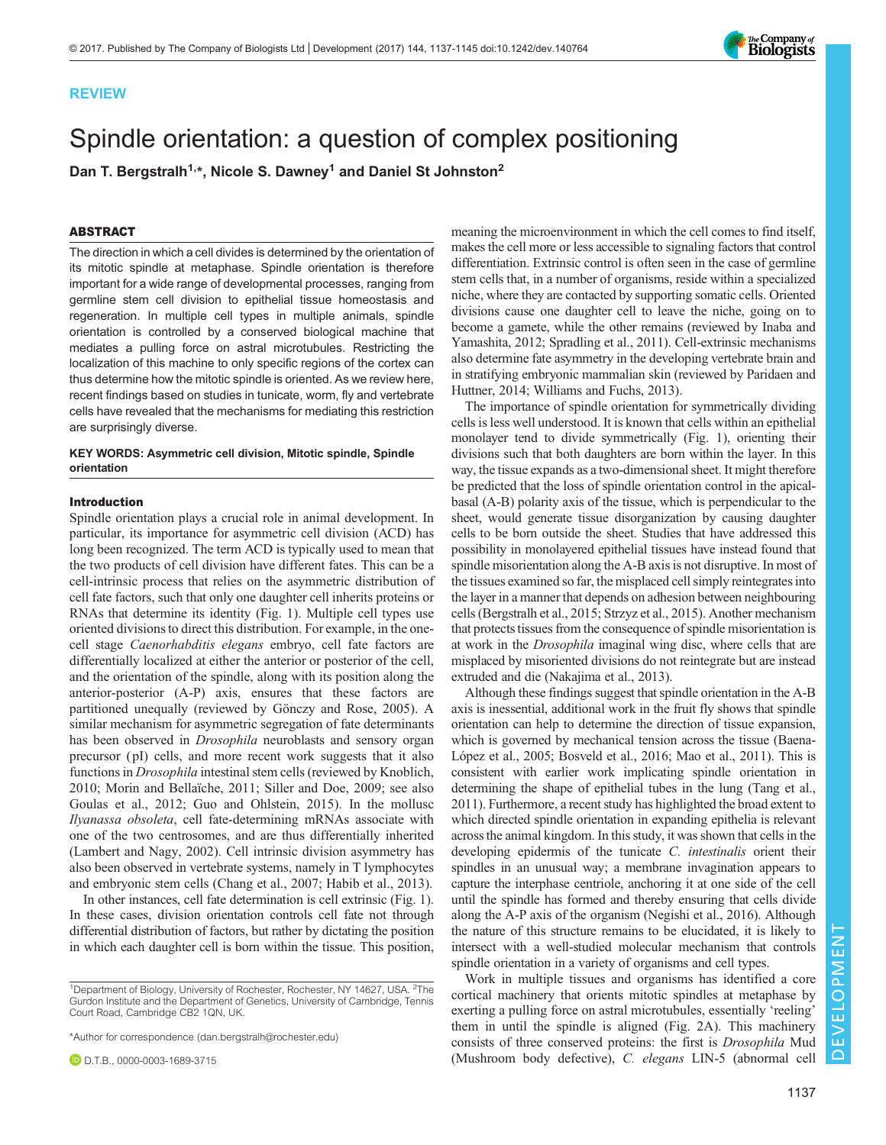# REVIEW

# Spindle orientation: a question of complex positioning

Dan T. Bergstralh<sup>1,\*</sup>, Nicole S. Dawney<sup>1</sup> and Daniel St Johnston<sup>2</sup>

# ABSTRACT

The direction in which a cell divides is determined by the orientation of its mitotic spindle at metaphase. Spindle orientation is therefore important for a wide range of developmental processes, ranging from germline stem cell division to epithelial tissue homeostasis and regeneration. In multiple cell types in multiple animals, spindle orientation is controlled by a conserved biological machine that mediates a pulling force on astral microtubules. Restricting the localization of this machine to only specific regions of the cortex can thus determine how the mitotic spindle is oriented. As we review here, recent findings based on studies in tunicate, worm, fly and vertebrate cells have revealed that the mechanisms for mediating this restriction are surprisingly diverse.

## KEY WORDS: Asymmetric cell division, Mitotic spindle, Spindle orientation

## Introduction

Spindle orientation plays a crucial role in animal development. In particular, its importance for asymmetric cell division (ACD) has long been recognized. The term ACD is typically used to mean that the two products of cell division have different fates. This can be a cell-intrinsic process that relies on the asymmetric distribution of cell fate factors, such that only one daughter cell inherits proteins or RNAs that determine its identity [\(Fig. 1](#page-1-0)). Multiple cell types use oriented divisions to direct this distribution. For example, in the onecell stage Caenorhabditis elegans embryo, cell fate factors are differentially localized at either the anterior or posterior of the cell, and the orientation of the spindle, along with its position along the anterior-posterior (A-P) axis, ensures that these factors are partitioned unequally (reviewed by [Gönczy and Rose, 2005\)](#page-7-0). A similar mechanism for asymmetric segregation of fate determinants has been observed in Drosophila neuroblasts and sensory organ precursor (pI) cells, and more recent work suggests that it also functions in Drosophila intestinal stem cells (reviewed by [Knoblich,](#page-7-0) [2010](#page-7-0); [Morin and Bellaïche, 2011;](#page-7-0) [Siller and Doe, 2009;](#page-8-0) see also [Goulas et al., 2012](#page-7-0); [Guo and Ohlstein, 2015](#page-7-0)). In the mollusc Ilyanassa obsoleta, cell fate-determining mRNAs associate with one of the two centrosomes, and are thus differentially inherited [\(Lambert and Nagy, 2002\)](#page-7-0). Cell intrinsic division asymmetry has also been observed in vertebrate systems, namely in T lymphocytes and embryonic stem cells [\(Chang et al., 2007](#page-6-0); [Habib et al., 2013\)](#page-7-0).

In other instances, cell fate determination is cell extrinsic ([Fig. 1\)](#page-1-0). In these cases, division orientation controls cell fate not through differential distribution of factors, but rather by dictating the position in which each daughter cell is born within the tissue. This position,

\*Author for correspondence [\(dan.bergstralh@rochester.edu\)](mailto:dan.bergstralh@rochester.edu)

meaning the microenvironment in which the cell comes to find itself, makes the cell more or less accessible to signaling factors that control differentiation. Extrinsic control is often seen in the case of germline stem cells that, in a number of organisms, reside within a specialized niche, where they are contacted by supporting somatic cells. Oriented divisions cause one daughter cell to leave the niche, going on to become a gamete, while the other remains (reviewed by [Inaba and](#page-7-0) [Yamashita, 2012;](#page-7-0) [Spradling et al., 2011\)](#page-8-0). Cell-extrinsic mechanisms also determine fate asymmetry in the developing vertebrate brain and in stratifying embryonic mammalian skin (reviewed by [Paridaen and](#page-8-0) [Huttner, 2014; Williams and Fuchs, 2013](#page-8-0)).

The importance of spindle orientation for symmetrically dividing cells is less well understood. It is known that cells within an epithelial monolayer tend to divide symmetrically ([Fig. 1\)](#page-1-0), orienting their divisions such that both daughters are born within the layer. In this way, the tissue expands as a two-dimensional sheet. It might therefore be predicted that the loss of spindle orientation control in the apicalbasal (A-B) polarity axis of the tissue, which is perpendicular to the sheet, would generate tissue disorganization by causing daughter cells to be born outside the sheet. Studies that have addressed this possibility in monolayered epithelial tissues have instead found that spindle misorientation along the A-B axis is not disruptive. In most of the tissues examined so far, the misplaced cell simply reintegrates into the layer in a manner that depends on adhesion between neighbouring cells [\(Bergstralh et al., 2015](#page-6-0); [Strzyz et al., 2015\)](#page-8-0). Another mechanism that protects tissues from the consequence of spindle misorientation is at work in the Drosophila imaginal wing disc, where cells that are misplaced by misoriented divisions do not reintegrate but are instead extruded and die ([Nakajima et al., 2013\)](#page-7-0).

Although these findings suggest that spindle orientation in the A-B axis is inessential, additional work in the fruit fly shows that spindle orientation can help to determine the direction of tissue expansion, which is governed by mechanical tension across the tissue ([Baena-](#page-6-0)[López et al., 2005; Bosveld et al., 2016;](#page-6-0) [Mao et al., 2011](#page-7-0)). This is consistent with earlier work implicating spindle orientation in determining the shape of epithelial tubes in the lung [\(Tang et al.,](#page-8-0) [2011\)](#page-8-0). Furthermore, a recent study has highlighted the broad extent to which directed spindle orientation in expanding epithelia is relevant across the animal kingdom. In this study, it was shown that cells in the developing epidermis of the tunicate C. intestinalis orient their spindles in an unusual way; a membrane invagination appears to capture the interphase centriole, anchoring it at one side of the cell until the spindle has formed and thereby ensuring that cells divide along the A-P axis of the organism [\(Negishi et al., 2016\)](#page-7-0). Although the nature of this structure remains to be elucidated, it is likely to intersect with a well-studied molecular mechanism that controls spindle orientation in a variety of organisms and cell types.

Work in multiple tissues and organisms has identified a core cortical machinery that orients mitotic spindles at metaphase by exerting a pulling force on astral microtubules, essentially 'reeling' them in until the spindle is aligned [\(Fig. 2A](#page-2-0)). This machinery consists of three conserved proteins: the first is Drosophila Mud (Mushroom body defective), C. elegans LIN-5 (abnormal cell

 $\overline{z}$ 



<sup>&</sup>lt;sup>1</sup>Department of Biology, University of Rochester, Rochester, NY 14627, USA. <sup>2</sup>The Gurdon Institute and the Department of Genetics, University of Cambridge, Tennis Court Road, Cambridge CB2 1QN, UK.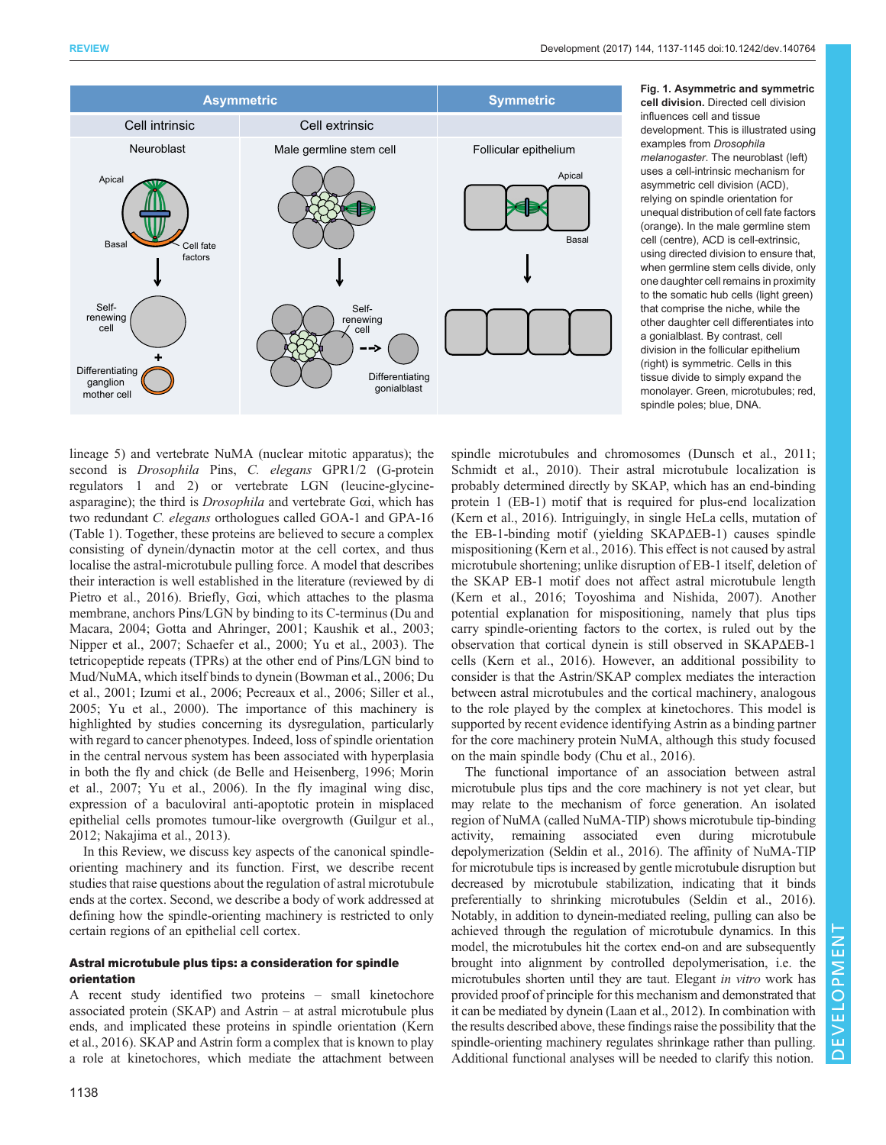<span id="page-1-0"></span>

cell division. Directed cell division influences cell and tissue development. This is illustrated using examples from Drosophila melanogaster. The neuroblast (left) uses a cell-intrinsic mechanism for asymmetric cell division (ACD), relying on spindle orientation for unequal distribution of cell fate factors (orange). In the male germline stem cell (centre), ACD is cell-extrinsic, using directed division to ensure that, when germline stem cells divide, only one daughter cell remains in proximity to the somatic hub cells (light green) that comprise the niche, while the other daughter cell differentiates into a gonialblast. By contrast, cell division in the follicular epithelium (right) is symmetric. Cells in this tissue divide to simply expand the monolayer. Green, microtubules; red, spindle poles; blue, DNA.

lineage 5) and vertebrate NuMA (nuclear mitotic apparatus); the second is Drosophila Pins, C. elegans GPR1/2 (G-protein regulators 1 and 2) or vertebrate LGN (leucine-glycineasparagine); the third is Drosophila and vertebrate Gαi, which has two redundant C. elegans orthologues called GOA-1 and GPA-16 [\(Table 1](#page-3-0)). Together, these proteins are believed to secure a complex consisting of dynein/dynactin motor at the cell cortex, and thus localise the astral-microtubule pulling force. A model that describes their interaction is well established in the literature (reviewed by [di](#page-7-0) [Pietro et al., 2016](#page-7-0)). Briefly, Gαi, which attaches to the plasma membrane, anchors Pins/LGN by binding to its C-terminus ([Du and](#page-7-0) [Macara, 2004](#page-7-0); [Gotta and Ahringer, 2001](#page-7-0); [Kaushik et al., 2003](#page-7-0); [Nipper et al., 2007](#page-7-0); [Schaefer et al., 2000; Yu et al., 2003](#page-8-0)). The tetricopeptide repeats (TPRs) at the other end of Pins/LGN bind to Mud/NuMA, which itself binds to dynein [\(Bowman et al., 2006;](#page-6-0) [Du](#page-7-0) [et al., 2001](#page-7-0); [Izumi et al., 2006;](#page-7-0) [Pecreaux et al., 2006](#page-8-0); [Siller et al.,](#page-8-0) [2005](#page-8-0); [Yu et al., 2000](#page-8-0)). The importance of this machinery is highlighted by studies concerning its dysregulation, particularly with regard to cancer phenotypes. Indeed, loss of spindle orientation in the central nervous system has been associated with hyperplasia in both the fly and chick ([de Belle and Heisenberg, 1996; Morin](#page-7-0) [et al., 2007](#page-7-0); [Yu et al., 2006](#page-8-0)). In the fly imaginal wing disc, expression of a baculoviral anti-apoptotic protein in misplaced epithelial cells promotes tumour-like overgrowth ([Guilgur et al.,](#page-7-0) [2012](#page-7-0); [Nakajima et al., 2013](#page-7-0)).

In this Review, we discuss key aspects of the canonical spindleorienting machinery and its function. First, we describe recent studies that raise questions about the regulation of astral microtubule ends at the cortex. Second, we describe a body of work addressed at defining how the spindle-orienting machinery is restricted to only certain regions of an epithelial cell cortex.

## Astral microtubule plus tips: a consideration for spindle orientation

A recent study identified two proteins – small kinetochore associated protein (SKAP) and Astrin – at astral microtubule plus ends, and implicated these proteins in spindle orientation [\(Kern](#page-7-0) [et al., 2016](#page-7-0)). SKAP and Astrin form a complex that is known to play a role at kinetochores, which mediate the attachment between

spindle microtubules and chromosomes ([Dunsch et al., 2011](#page-7-0); [Schmidt et al., 2010\)](#page-8-0). Their astral microtubule localization is probably determined directly by SKAP, which has an end-binding protein 1 (EB-1) motif that is required for plus-end localization [\(Kern et al., 2016\)](#page-7-0). Intriguingly, in single HeLa cells, mutation of the EB-1-binding motif (yielding SKAPΔEB-1) causes spindle mispositioning ([Kern et al., 2016\)](#page-7-0). This effect is not caused by astral microtubule shortening; unlike disruption of EB-1 itself, deletion of the SKAP EB-1 motif does not affect astral microtubule length [\(Kern et al., 2016;](#page-7-0) [Toyoshima and Nishida, 2007\)](#page-8-0). Another potential explanation for mispositioning, namely that plus tips carry spindle-orienting factors to the cortex, is ruled out by the observation that cortical dynein is still observed in SKAPΔEB-1 cells ([Kern et al., 2016](#page-7-0)). However, an additional possibility to consider is that the Astrin/SKAP complex mediates the interaction between astral microtubules and the cortical machinery, analogous to the role played by the complex at kinetochores. This model is supported by recent evidence identifying Astrin as a binding partner for the core machinery protein NuMA, although this study focused on the main spindle body [\(Chu et al., 2016\)](#page-6-0).

The functional importance of an association between astral microtubule plus tips and the core machinery is not yet clear, but may relate to the mechanism of force generation. An isolated region of NuMA (called NuMA-TIP) shows microtubule tip-binding activity, remaining associated even during microtubule depolymerization ([Seldin et al., 2016\)](#page-8-0). The affinity of NuMA-TIP for microtubule tips is increased by gentle microtubule disruption but decreased by microtubule stabilization, indicating that it binds preferentially to shrinking microtubules [\(Seldin et al., 2016\)](#page-8-0). Notably, in addition to dynein-mediated reeling, pulling can also be achieved through the regulation of microtubule dynamics. In this model, the microtubules hit the cortex end-on and are subsequently brought into alignment by controlled depolymerisation, i.e. the microtubules shorten until they are taut. Elegant in vitro work has provided proof of principle for this mechanism and demonstrated that it can be mediated by dynein ([Laan et al., 2012\)](#page-7-0). In combination with the results described above, these findings raise the possibility that the spindle-orienting machinery regulates shrinkage rather than pulling. Additional functional analyses will be needed to clarify this notion.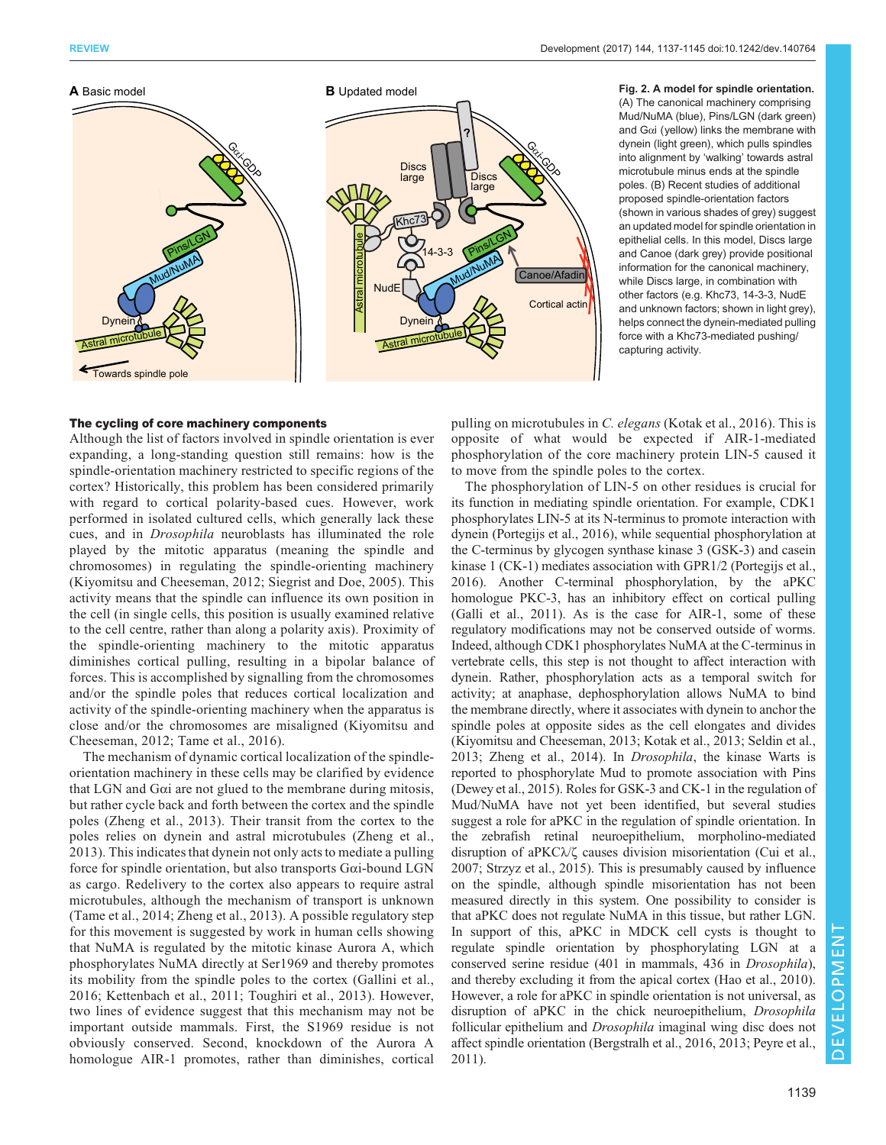<span id="page-2-0"></span>

Fig. 2. A model for spindle orientation. (A) The canonical machinery comprising Mud/NuMA (blue), Pins/LGN (dark green) and Gαi (yellow) links the membrane with dynein (light green), which pulls spindles into alignment by 'walking' towards astral microtubule minus ends at the spindle poles. (B) Recent studies of additional proposed spindle-orientation factors (shown in various shades of grey) suggest an updated model for spindle orientation in epithelial cells. In this model, Discs large and Canoe (dark grey) provide positional information for the canonical machinery, while Discs large, in combination with other factors (e.g. Khc73, 14-3-3, NudE and unknown factors; shown in light grey), helps connect the dynein-mediated pulling force with a Khc73-mediated pushing/ capturing activity.

## The cycling of core machinery components

Although the list of factors involved in spindle orientation is ever expanding, a long-standing question still remains: how is the spindle-orientation machinery restricted to specific regions of the cortex? Historically, this problem has been considered primarily with regard to cortical polarity-based cues. However, work performed in isolated cultured cells, which generally lack these cues, and in Drosophila neuroblasts has illuminated the role played by the mitotic apparatus (meaning the spindle and chromosomes) in regulating the spindle-orienting machinery [\(Kiyomitsu and Cheeseman, 2012](#page-7-0); [Siegrist and Doe, 2005\)](#page-8-0). This activity means that the spindle can influence its own position in the cell (in single cells, this position is usually examined relative to the cell centre, rather than along a polarity axis). Proximity of the spindle-orienting machinery to the mitotic apparatus diminishes cortical pulling, resulting in a bipolar balance of forces. This is accomplished by signalling from the chromosomes and/or the spindle poles that reduces cortical localization and activity of the spindle-orienting machinery when the apparatus is close and/or the chromosomes are misaligned ([Kiyomitsu and](#page-7-0) [Cheeseman, 2012;](#page-7-0) [Tame et al., 2016](#page-8-0)).

The mechanism of dynamic cortical localization of the spindleorientation machinery in these cells may be clarified by evidence that LGN and Gαi are not glued to the membrane during mitosis, but rather cycle back and forth between the cortex and the spindle poles [\(Zheng et al., 2013\)](#page-8-0). Their transit from the cortex to the poles relies on dynein and astral microtubules ([Zheng et al.,](#page-8-0) [2013\)](#page-8-0). This indicates that dynein not only acts to mediate a pulling force for spindle orientation, but also transports Gαi-bound LGN as cargo. Redelivery to the cortex also appears to require astral microtubules, although the mechanism of transport is unknown [\(Tame et al., 2014; Zheng et al., 2013](#page-8-0)). A possible regulatory step for this movement is suggested by work in human cells showing that NuMA is regulated by the mitotic kinase Aurora A, which phosphorylates NuMA directly at Ser1969 and thereby promotes its mobility from the spindle poles to the cortex [\(Gallini et al.,](#page-7-0) [2016; Kettenbach et al., 2011;](#page-7-0) [Toughiri et al., 2013\)](#page-8-0). However, two lines of evidence suggest that this mechanism may not be important outside mammals. First, the S1969 residue is not obviously conserved. Second, knockdown of the Aurora A homologue AIR-1 promotes, rather than diminishes, cortical

pulling on microtubules in C. elegans ([Kotak et al., 2016](#page-7-0)). This is opposite of what would be expected if AIR-1-mediated phosphorylation of the core machinery protein LIN-5 caused it to move from the spindle poles to the cortex.

The phosphorylation of LIN-5 on other residues is crucial for its function in mediating spindle orientation. For example, CDK1 phosphorylates LIN-5 at its N-terminus to promote interaction with dynein [\(Portegijs et al., 2016\)](#page-8-0), while sequential phosphorylation at the C-terminus by glycogen synthase kinase 3 (GSK-3) and casein kinase 1 (CK-1) mediates association with GPR1/2 [\(Portegijs et al.,](#page-8-0) [2016\)](#page-8-0). Another C-terminal phosphorylation, by the aPKC homologue PKC-3, has an inhibitory effect on cortical pulling [\(Galli et al., 2011\)](#page-7-0). As is the case for AIR-1, some of these regulatory modifications may not be conserved outside of worms. Indeed, although CDK1 phosphorylates NuMA at the C-terminus in vertebrate cells, this step is not thought to affect interaction with dynein. Rather, phosphorylation acts as a temporal switch for activity; at anaphase, dephosphorylation allows NuMA to bind the membrane directly, where it associates with dynein to anchor the spindle poles at opposite sides as the cell elongates and divides [\(Kiyomitsu and Cheeseman, 2013](#page-7-0); [Kotak et al., 2013](#page-7-0); [Seldin et al.,](#page-8-0) [2013; Zheng et al., 2014\)](#page-8-0). In Drosophila, the kinase Warts is reported to phosphorylate Mud to promote association with Pins [\(Dewey et al., 2015\)](#page-7-0). Roles for GSK-3 and CK-1 in the regulation of Mud/NuMA have not yet been identified, but several studies suggest a role for aPKC in the regulation of spindle orientation. In the zebrafish retinal neuroepithelium, morpholino-mediated disruption of aPKCλ/ζ causes division misorientation [\(Cui et al.,](#page-6-0) [2007;](#page-6-0) [Strzyz et al., 2015\)](#page-8-0). This is presumably caused by influence on the spindle, although spindle misorientation has not been measured directly in this system. One possibility to consider is that aPKC does not regulate NuMA in this tissue, but rather LGN. In support of this, aPKC in MDCK cell cysts is thought to regulate spindle orientation by phosphorylating LGN at a conserved serine residue (401 in mammals, 436 in Drosophila), and thereby excluding it from the apical cortex ([Hao et al., 2010\)](#page-7-0). However, a role for aPKC in spindle orientation is not universal, as disruption of aPKC in the chick neuroepithelium, Drosophila follicular epithelium and *Drosophila* imaginal wing disc does not affect spindle orientation [\(Bergstralh et al., 2016, 2013](#page-6-0); [Peyre et al.,](#page-8-0) [2011\)](#page-8-0).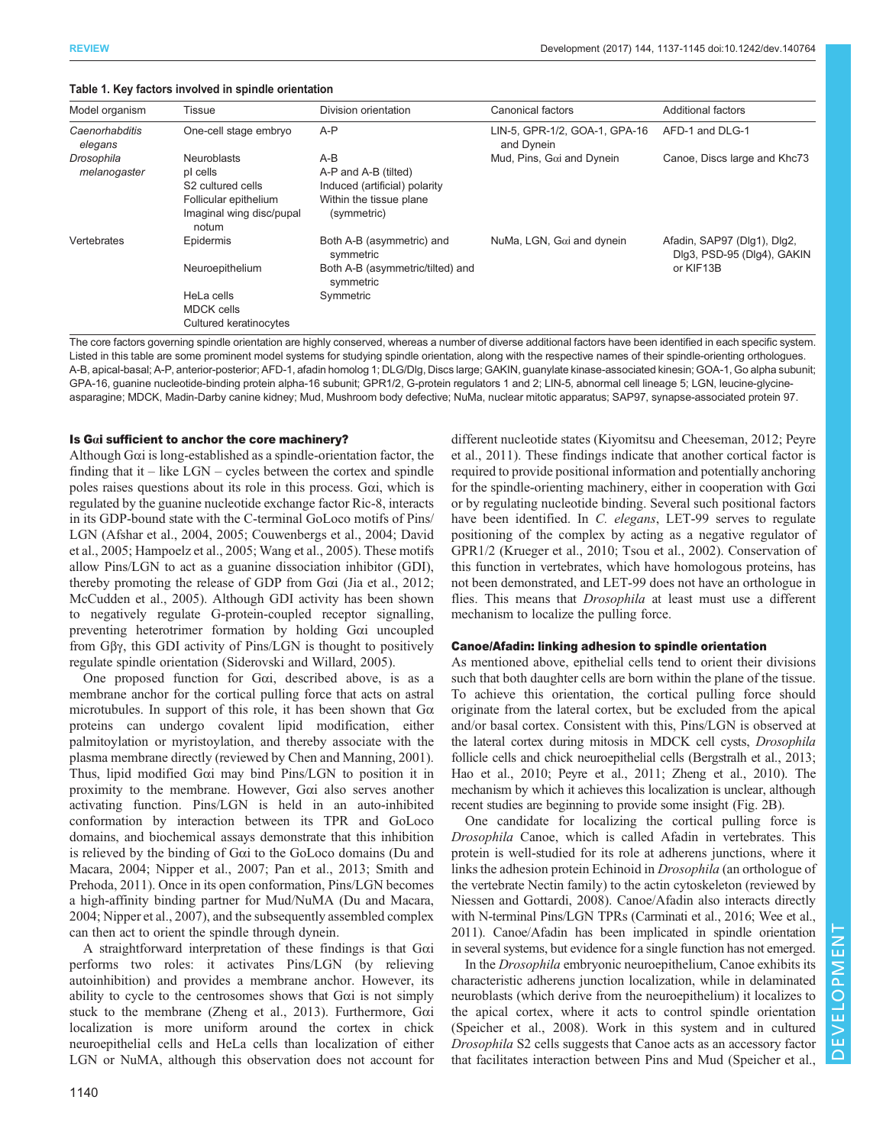| Model organism             | Tissue                                                                                                                        | Division orientation                                                                                     | Canonical factors                           | Additional factors                                                     |
|----------------------------|-------------------------------------------------------------------------------------------------------------------------------|----------------------------------------------------------------------------------------------------------|---------------------------------------------|------------------------------------------------------------------------|
| Caenorhabditis<br>elegans  | One-cell stage embryo                                                                                                         | $A - P$                                                                                                  | LIN-5. GPR-1/2. GOA-1. GPA-16<br>and Dynein | AFD-1 and DLG-1                                                        |
| Drosophila<br>melanogaster | <b>Neuroblasts</b><br>pl cells<br>S <sub>2</sub> cultured cells<br>Follicular epithelium<br>Imaginal wing disc/pupal<br>notum | $A-B$<br>A-P and A-B (tilted)<br>Induced (artificial) polarity<br>Within the tissue plane<br>(symmetric) | Mud, Pins, $G\alpha i$ and Dynein           | Canoe, Discs large and Khc73                                           |
| Vertebrates                | Epidermis<br>Neuroepithelium                                                                                                  | Both A-B (asymmetric) and<br>symmetric<br>Both A-B (asymmetric/tilted) and                               | NuMa, LGN, Gαi and dynein                   | Afadin, SAP97 (Dlg1), Dlg2,<br>Dlq3, PSD-95 (Dlg4), GAKIN<br>or KIF13B |
|                            | HeLa cells<br><b>MDCK cells</b><br>Cultured keratinocytes                                                                     | symmetric<br>Symmetric                                                                                   |                                             |                                                                        |

<span id="page-3-0"></span>Table 1. Key factors involved in spindle orientation

The core factors governing spindle orientation are highly conserved, whereas a number of diverse additional factors have been identified in each specific system. Listed in this table are some prominent model systems for studying spindle orientation, along with the respective names of their spindle-orienting orthologues. A-B, apical-basal; A-P, anterior-posterior; AFD-1, afadin homolog 1; DLG/Dlg, Discs large; GAKIN, guanylate kinase-associated kinesin; GOA-1, Go alpha subunit; GPA-16, guanine nucleotide-binding protein alpha-16 subunit; GPR1/2, G-protein regulators 1 and 2; LIN-5, abnormal cell lineage 5; LGN, leucine-glycineasparagine; MDCK, Madin-Darby canine kidney; Mud, Mushroom body defective; NuMa, nuclear mitotic apparatus; SAP97, synapse-associated protein 97.

## Is G $a$ i sufficient to anchor the core machinery?

Although Gαi is long-established as a spindle-orientation factor, the finding that it – like  $LGN$  – cycles between the cortex and spindle poles raises questions about its role in this process. Gαi, which is regulated by the guanine nucleotide exchange factor Ric-8, interacts in its GDP-bound state with the C-terminal GoLoco motifs of Pins/ LGN [\(Afshar et al., 2004, 2005; Couwenbergs et al., 2004; David](#page-6-0) [et al., 2005;](#page-6-0) [Hampoelz et al., 2005;](#page-7-0) [Wang et al., 2005](#page-8-0)). These motifs allow Pins/LGN to act as a guanine dissociation inhibitor (GDI), thereby promoting the release of GDP from Gαi [\(Jia et al., 2012](#page-7-0); [McCudden et al., 2005\)](#page-7-0). Although GDI activity has been shown to negatively regulate G-protein-coupled receptor signalling, preventing heterotrimer formation by holding Gαi uncoupled from Gβγ, this GDI activity of Pins/LGN is thought to positively regulate spindle orientation ([Siderovski and Willard, 2005](#page-8-0)).

One proposed function for Gαi, described above, is as a membrane anchor for the cortical pulling force that acts on astral microtubules. In support of this role, it has been shown that  $G\alpha$ proteins can undergo covalent lipid modification, either palmitoylation or myristoylation, and thereby associate with the plasma membrane directly (reviewed by [Chen and Manning, 2001\)](#page-6-0). Thus, lipid modified Gαi may bind Pins/LGN to position it in proximity to the membrane. However, Gαi also serves another activating function. Pins/LGN is held in an auto-inhibited conformation by interaction between its TPR and GoLoco domains, and biochemical assays demonstrate that this inhibition is relieved by the binding of Gαi to the GoLoco domains ([Du and](#page-7-0) [Macara, 2004](#page-7-0); [Nipper et al., 2007](#page-7-0); [Pan et al., 2013](#page-8-0); [Smith and](#page-8-0) [Prehoda, 2011](#page-8-0)). Once in its open conformation, Pins/LGN becomes a high-affinity binding partner for Mud/NuMA ([Du and Macara,](#page-7-0) [2004](#page-7-0); [Nipper et al., 2007\)](#page-7-0), and the subsequently assembled complex can then act to orient the spindle through dynein.

A straightforward interpretation of these findings is that Gαi performs two roles: it activates Pins/LGN (by relieving autoinhibition) and provides a membrane anchor. However, its ability to cycle to the centrosomes shows that Gαi is not simply stuck to the membrane [\(Zheng et al., 2013\)](#page-8-0). Furthermore, Gαi localization is more uniform around the cortex in chick neuroepithelial cells and HeLa cells than localization of either LGN or NuMA, although this observation does not account for

different nucleotide states [\(Kiyomitsu and Cheeseman, 2012](#page-7-0); [Peyre](#page-8-0) [et al., 2011\)](#page-8-0). These findings indicate that another cortical factor is required to provide positional information and potentially anchoring for the spindle-orienting machinery, either in cooperation with Gαi or by regulating nucleotide binding. Several such positional factors have been identified. In C. elegans, LET-99 serves to regulate positioning of the complex by acting as a negative regulator of GPR1/2 [\(Krueger et al., 2010;](#page-7-0) [Tsou et al., 2002](#page-8-0)). Conservation of this function in vertebrates, which have homologous proteins, has not been demonstrated, and LET-99 does not have an orthologue in flies. This means that *Drosophila* at least must use a different mechanism to localize the pulling force.

### Canoe/Afadin: linking adhesion to spindle orientation

As mentioned above, epithelial cells tend to orient their divisions such that both daughter cells are born within the plane of the tissue. To achieve this orientation, the cortical pulling force should originate from the lateral cortex, but be excluded from the apical and/or basal cortex. Consistent with this, Pins/LGN is observed at the lateral cortex during mitosis in MDCK cell cysts, Drosophila follicle cells and chick neuroepithelial cells [\(Bergstralh et al., 2013](#page-6-0); [Hao et al., 2010](#page-7-0); [Peyre et al., 2011](#page-8-0); [Zheng et al., 2010](#page-8-0)). The mechanism by which it achieves this localization is unclear, although recent studies are beginning to provide some insight [\(Fig. 2](#page-2-0)B).

One candidate for localizing the cortical pulling force is Drosophila Canoe, which is called Afadin in vertebrates. This protein is well-studied for its role at adherens junctions, where it links the adhesion protein Echinoid in *Drosophila* (an orthologue of the vertebrate Nectin family) to the actin cytoskeleton (reviewed by [Niessen and Gottardi, 2008\)](#page-7-0). Canoe/Afadin also interacts directly with N-terminal Pins/LGN TPRs [\(Carminati et al., 2016](#page-6-0); [Wee et al.,](#page-8-0) [2011](#page-8-0)). Canoe/Afadin has been implicated in spindle orientation in several systems, but evidence for a single function has not emerged.

In the Drosophila embryonic neuroepithelium, Canoe exhibits its characteristic adherens junction localization, while in delaminated neuroblasts (which derive from the neuroepithelium) it localizes to the apical cortex, where it acts to control spindle orientation [\(Speicher et al., 2008](#page-8-0)). Work in this system and in cultured Drosophila S2 cells suggests that Canoe acts as an accessory factor that facilitates interaction between Pins and Mud ([Speicher et al.,](#page-8-0)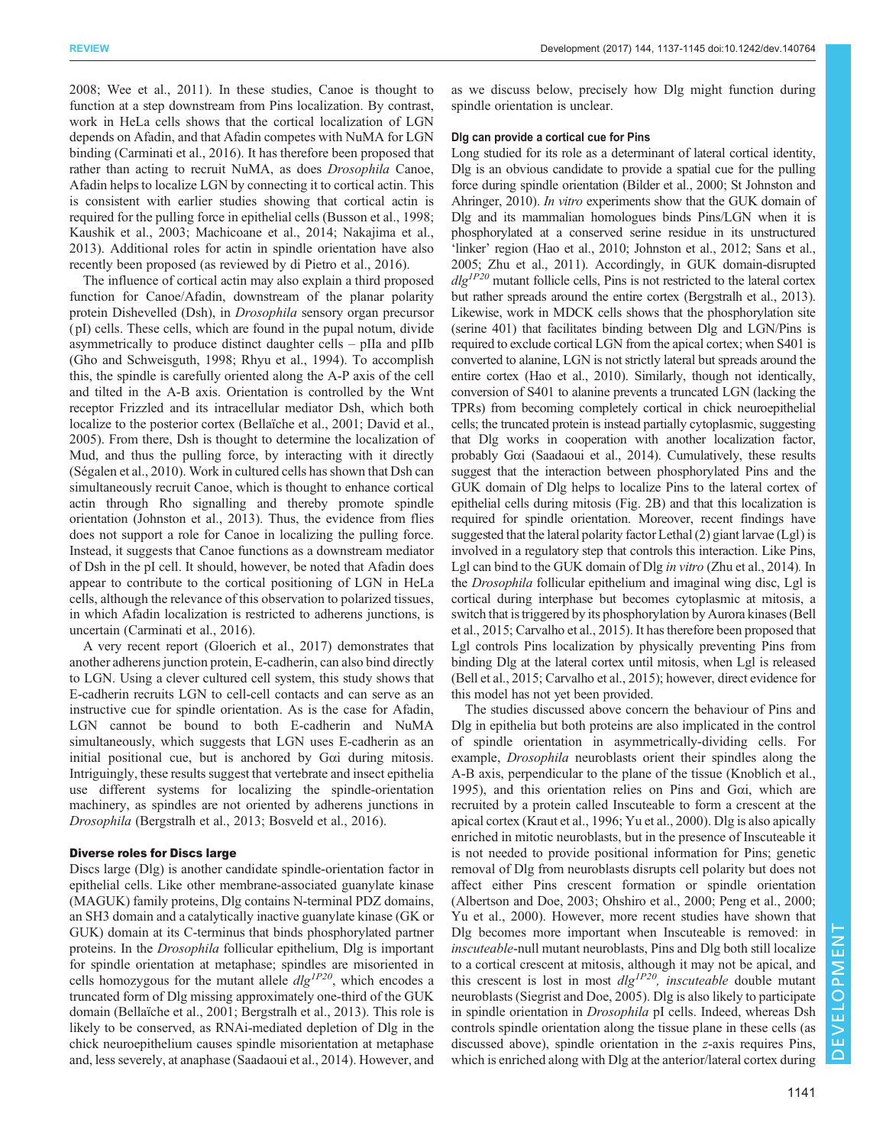[2008](#page-8-0); [Wee et al., 2011](#page-8-0)). In these studies, Canoe is thought to function at a step downstream from Pins localization. By contrast, work in HeLa cells shows that the cortical localization of LGN depends on Afadin, and that Afadin competes with NuMA for LGN binding [\(Carminati et al., 2016\)](#page-6-0). It has therefore been proposed that rather than acting to recruit NuMA, as does Drosophila Canoe, Afadin helps to localize LGN by connecting it to cortical actin. This is consistent with earlier studies showing that cortical actin is required for the pulling force in epithelial cells [\(Busson et al., 1998](#page-6-0); [Kaushik et al., 2003; Machicoane et al., 2014; Nakajima et al.,](#page-7-0) [2013](#page-7-0)). Additional roles for actin in spindle orientation have also recently been proposed (as reviewed by [di Pietro et al., 2016](#page-7-0)).

The influence of cortical actin may also explain a third proposed function for Canoe/Afadin, downstream of the planar polarity protein Dishevelled (Dsh), in Drosophila sensory organ precursor ( pI) cells. These cells, which are found in the pupal notum, divide asymmetrically to produce distinct daughter cells – pIIa and pIIb [\(Gho and Schweisguth, 1998;](#page-7-0) [Rhyu et al., 1994\)](#page-8-0). To accomplish this, the spindle is carefully oriented along the A-P axis of the cell and tilted in the A-B axis. Orientation is controlled by the Wnt receptor Frizzled and its intracellular mediator Dsh, which both localize to the posterior cortex [\(Bellaïche et al., 2001; David et al.,](#page-6-0) [2005](#page-6-0)). From there, Dsh is thought to determine the localization of Mud, and thus the pulling force, by interacting with it directly [\(Ségalen et al., 2010](#page-8-0)). Work in cultured cells has shown that Dsh can simultaneously recruit Canoe, which is thought to enhance cortical actin through Rho signalling and thereby promote spindle orientation [\(Johnston et al., 2013](#page-7-0)). Thus, the evidence from flies does not support a role for Canoe in localizing the pulling force. Instead, it suggests that Canoe functions as a downstream mediator of Dsh in the pI cell. It should, however, be noted that Afadin does appear to contribute to the cortical positioning of LGN in HeLa cells, although the relevance of this observation to polarized tissues, in which Afadin localization is restricted to adherens junctions, is uncertain ([Carminati et al., 2016](#page-6-0)).

A very recent report [\(Gloerich et al., 2017](#page-7-0)) demonstrates that another adherens junction protein, E-cadherin, can also bind directly to LGN. Using a clever cultured cell system, this study shows that E-cadherin recruits LGN to cell-cell contacts and can serve as an instructive cue for spindle orientation. As is the case for Afadin, LGN cannot be bound to both E-cadherin and NuMA simultaneously, which suggests that LGN uses E-cadherin as an initial positional cue, but is anchored by Gαi during mitosis. Intriguingly, these results suggest that vertebrate and insect epithelia use different systems for localizing the spindle-orientation machinery, as spindles are not oriented by adherens junctions in Drosophila ([Bergstralh et al., 2013; Bosveld et al., 2016\)](#page-6-0).

#### Diverse roles for Discs large

Discs large (Dlg) is another candidate spindle-orientation factor in epithelial cells. Like other membrane-associated guanylate kinase (MAGUK) family proteins, Dlg contains N-terminal PDZ domains, an SH3 domain and a catalytically inactive guanylate kinase (GK or GUK) domain at its C-terminus that binds phosphorylated partner proteins. In the Drosophila follicular epithelium, Dlg is important for spindle orientation at metaphase; spindles are misoriented in cells homozygous for the mutant allele  $dlg^{1P20}$ , which encodes a truncated form of Dlg missing approximately one-third of the GUK domain ([Bellaïche et al., 2001; Bergstralh et al., 2013\)](#page-6-0). This role is likely to be conserved, as RNAi-mediated depletion of Dlg in the chick neuroepithelium causes spindle misorientation at metaphase and, less severely, at anaphase [\(Saadaoui et al., 2014](#page-8-0)). However, and as we discuss below, precisely how Dlg might function during spindle orientation is unclear.

#### Dlg can provide a cortical cue for Pins

Long studied for its role as a determinant of lateral cortical identity, Dlg is an obvious candidate to provide a spatial cue for the pulling force during spindle orientation [\(Bilder et al., 2000](#page-6-0); [St Johnston and](#page-8-0) [Ahringer, 2010](#page-8-0)). In vitro experiments show that the GUK domain of Dlg and its mammalian homologues binds Pins/LGN when it is phosphorylated at a conserved serine residue in its unstructured 'linker' region [\(Hao et al., 2010; Johnston et al., 2012;](#page-7-0) [Sans et al.,](#page-8-0) [2005](#page-8-0); [Zhu et al., 2011\)](#page-8-0). Accordingly, in GUK domain-disrupted  $dlg^{1P20}$  mutant follicle cells, Pins is not restricted to the lateral cortex but rather spreads around the entire cortex ([Bergstralh et al., 2013\)](#page-6-0). Likewise, work in MDCK cells shows that the phosphorylation site (serine 401) that facilitates binding between Dlg and LGN/Pins is required to exclude cortical LGN from the apical cortex; when S401 is converted to alanine, LGN is not strictly lateral but spreads around the entire cortex ([Hao et al., 2010](#page-7-0)). Similarly, though not identically, conversion of S401 to alanine prevents a truncated LGN (lacking the TPRs) from becoming completely cortical in chick neuroepithelial cells; the truncated protein is instead partially cytoplasmic, suggesting that Dlg works in cooperation with another localization factor, probably Gαi [\(Saadaoui et al., 2014](#page-8-0)). Cumulatively, these results suggest that the interaction between phosphorylated Pins and the GUK domain of Dlg helps to localize Pins to the lateral cortex of epithelial cells during mitosis [\(Fig. 2B](#page-2-0)) and that this localization is required for spindle orientation. Moreover, recent findings have suggested that the lateral polarity factor Lethal (2) giant larvae (Lgl) is involved in a regulatory step that controls this interaction. Like Pins, Lgl can bind to the GUK domain of Dlg in vitro ([Zhu et al., 2014\)](#page-8-0). In the Drosophila follicular epithelium and imaginal wing disc, Lgl is cortical during interphase but becomes cytoplasmic at mitosis, a switch that is triggered by its phosphorylation by Aurora kinases ([Bell](#page-6-0) [et al., 2015](#page-6-0); [Carvalho et al., 2015](#page-6-0)). It has therefore been proposed that Lgl controls Pins localization by physically preventing Pins from binding Dlg at the lateral cortex until mitosis, when Lgl is released [\(Bell et al., 2015; Carvalho et al., 2015](#page-6-0)); however, direct evidence for this model has not yet been provided.

The studies discussed above concern the behaviour of Pins and Dlg in epithelia but both proteins are also implicated in the control of spindle orientation in asymmetrically-dividing cells. For example, Drosophila neuroblasts orient their spindles along the A-B axis, perpendicular to the plane of the tissue [\(Knoblich et al.,](#page-7-0) [1995\)](#page-7-0), and this orientation relies on Pins and Gαi, which are recruited by a protein called Inscuteable to form a crescent at the apical cortex [\(Kraut et al., 1996;](#page-7-0) [Yu et al., 2000](#page-8-0)). Dlg is also apically enriched in mitotic neuroblasts, but in the presence of Inscuteable it is not needed to provide positional information for Pins; genetic removal of Dlg from neuroblasts disrupts cell polarity but does not affect either Pins crescent formation or spindle orientation [\(Albertson and Doe, 2003](#page-6-0); [Ohshiro et al., 2000](#page-7-0); [Peng et al., 2000](#page-8-0); [Yu et al., 2000](#page-8-0)). However, more recent studies have shown that Dlg becomes more important when Inscuteable is removed: in inscuteable-null mutant neuroblasts, Pins and Dlg both still localize to a cortical crescent at mitosis, although it may not be apical, and this crescent is lost in most  $dlg^{1P20}$ , *inscuteable* double mutant neuroblasts [\(Siegrist and Doe, 2005](#page-8-0)). Dlg is also likely to participate in spindle orientation in Drosophila pI cells. Indeed, whereas Dsh controls spindle orientation along the tissue plane in these cells (as discussed above), spindle orientation in the z-axis requires Pins, which is enriched along with Dlg at the anterior/lateral cortex during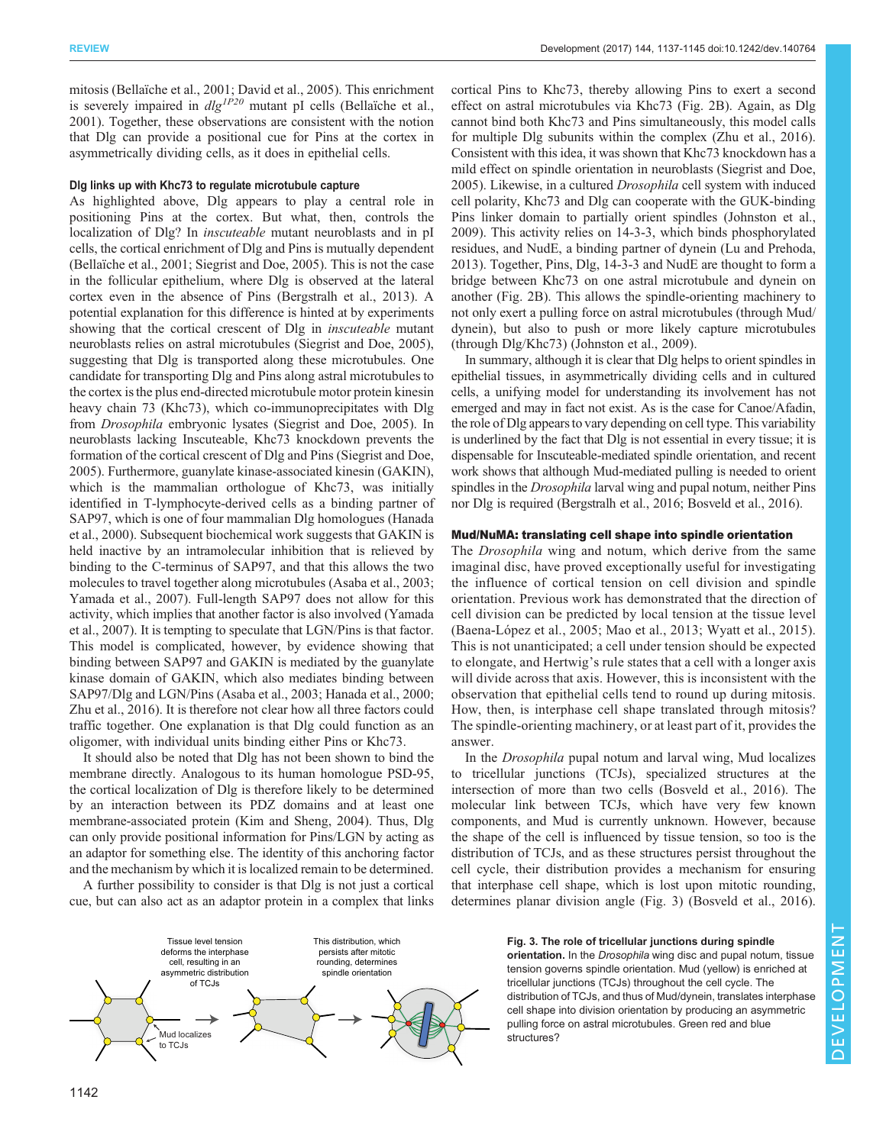mitosis [\(Bellaïche et al., 2001; David et al., 2005](#page-6-0)). This enrichment is severely impaired in  $dlg^{1P20}$  mutant pI cells [\(Bellaïche et al.,](#page-6-0) [2001](#page-6-0)). Together, these observations are consistent with the notion that Dlg can provide a positional cue for Pins at the cortex in asymmetrically dividing cells, as it does in epithelial cells.

#### Dlg links up with Khc73 to regulate microtubule capture

As highlighted above, Dlg appears to play a central role in positioning Pins at the cortex. But what, then, controls the localization of Dlg? In inscuteable mutant neuroblasts and in pI cells, the cortical enrichment of Dlg and Pins is mutually dependent [\(Bellaïche et al., 2001](#page-6-0); [Siegrist and Doe, 2005\)](#page-8-0). This is not the case in the follicular epithelium, where Dlg is observed at the lateral cortex even in the absence of Pins ([Bergstralh et al., 2013](#page-6-0)). A potential explanation for this difference is hinted at by experiments showing that the cortical crescent of Dlg in inscuteable mutant neuroblasts relies on astral microtubules [\(Siegrist and Doe, 2005\)](#page-8-0), suggesting that Dlg is transported along these microtubules. One candidate for transporting Dlg and Pins along astral microtubules to the cortex is the plus end-directed microtubule motor protein kinesin heavy chain 73 (Khc73), which co-immunoprecipitates with Dlg from Drosophila embryonic lysates [\(Siegrist and Doe, 2005\)](#page-8-0). In neuroblasts lacking Inscuteable, Khc73 knockdown prevents the formation of the cortical crescent of Dlg and Pins ([Siegrist and Doe,](#page-8-0) [2005](#page-8-0)). Furthermore, guanylate kinase-associated kinesin (GAKIN), which is the mammalian orthologue of Khc73, was initially identified in T-lymphocyte-derived cells as a binding partner of SAP97, which is one of four mammalian Dlg homologues [\(Hanada](#page-7-0) [et al., 2000](#page-7-0)). Subsequent biochemical work suggests that GAKIN is held inactive by an intramolecular inhibition that is relieved by binding to the C-terminus of SAP97, and that this allows the two molecules to travel together along microtubules [\(Asaba et al., 2003](#page-6-0); [Yamada et al., 2007\)](#page-8-0). Full-length SAP97 does not allow for this activity, which implies that another factor is also involved ([Yamada](#page-8-0) [et al., 2007\)](#page-8-0). It is tempting to speculate that LGN/Pins is that factor. This model is complicated, however, by evidence showing that binding between SAP97 and GAKIN is mediated by the guanylate kinase domain of GAKIN, which also mediates binding between SAP97/Dlg and LGN/Pins ([Asaba et al., 2003](#page-6-0); [Hanada et al., 2000](#page-7-0); [Zhu et al., 2016](#page-8-0)). It is therefore not clear how all three factors could traffic together. One explanation is that Dlg could function as an oligomer, with individual units binding either Pins or Khc73.

It should also be noted that Dlg has not been shown to bind the membrane directly. Analogous to its human homologue PSD-95, the cortical localization of Dlg is therefore likely to be determined by an interaction between its PDZ domains and at least one membrane-associated protein ([Kim and Sheng, 2004\)](#page-7-0). Thus, Dlg can only provide positional information for Pins/LGN by acting as an adaptor for something else. The identity of this anchoring factor and the mechanism by which it is localized remain to be determined.

A further possibility to consider is that Dlg is not just a cortical cue, but can also act as an adaptor protein in a complex that links cortical Pins to Khc73, thereby allowing Pins to exert a second effect on astral microtubules via Khc73 ([Fig. 2B](#page-2-0)). Again, as Dlg cannot bind both Khc73 and Pins simultaneously, this model calls for multiple Dlg subunits within the complex [\(Zhu et al., 2016\)](#page-8-0). Consistent with this idea, it was shown that Khc73 knockdown has a mild effect on spindle orientation in neuroblasts ([Siegrist and Doe,](#page-8-0) [2005\)](#page-8-0). Likewise, in a cultured Drosophila cell system with induced cell polarity, Khc73 and Dlg can cooperate with the GUK-binding Pins linker domain to partially orient spindles [\(Johnston et al.,](#page-7-0) [2009\)](#page-7-0). This activity relies on 14-3-3, which binds phosphorylated residues, and NudE, a binding partner of dynein [\(Lu and Prehoda,](#page-7-0) [2013\)](#page-7-0). Together, Pins, Dlg, 14-3-3 and NudE are thought to form a bridge between Khc73 on one astral microtubule and dynein on another ([Fig. 2](#page-2-0)B). This allows the spindle-orienting machinery to not only exert a pulling force on astral microtubules (through Mud/ dynein), but also to push or more likely capture microtubules (through Dlg/Khc73) ([Johnston et al., 2009\)](#page-7-0).

In summary, although it is clear that Dlg helps to orient spindles in epithelial tissues, in asymmetrically dividing cells and in cultured cells, a unifying model for understanding its involvement has not emerged and may in fact not exist. As is the case for Canoe/Afadin, the role of Dlg appears to vary depending on cell type. This variability is underlined by the fact that Dlg is not essential in every tissue; it is dispensable for Inscuteable-mediated spindle orientation, and recent work shows that although Mud-mediated pulling is needed to orient spindles in the *Drosophila* larval wing and pupal notum, neither Pins nor Dlg is required [\(Bergstralh et al., 2016](#page-6-0); [Bosveld et al., 2016\)](#page-6-0).

# Mud/NuMA: translating cell shape into spindle orientation

The Drosophila wing and notum, which derive from the same imaginal disc, have proved exceptionally useful for investigating the influence of cortical tension on cell division and spindle orientation. Previous work has demonstrated that the direction of cell division can be predicted by local tension at the tissue level [\(Baena-López et al., 2005;](#page-6-0) [Mao et al., 2013](#page-7-0); [Wyatt et al., 2015](#page-8-0)). This is not unanticipated; a cell under tension should be expected to elongate, and Hertwig's rule states that a cell with a longer axis will divide across that axis. However, this is inconsistent with the observation that epithelial cells tend to round up during mitosis. How, then, is interphase cell shape translated through mitosis? The spindle-orienting machinery, or at least part of it, provides the answer.

In the Drosophila pupal notum and larval wing, Mud localizes to tricellular junctions (TCJs), specialized structures at the intersection of more than two cells ([Bosveld et al., 2016\)](#page-6-0). The molecular link between TCJs, which have very few known components, and Mud is currently unknown. However, because the shape of the cell is influenced by tissue tension, so too is the distribution of TCJs, and as these structures persist throughout the cell cycle, their distribution provides a mechanism for ensuring that interphase cell shape, which is lost upon mitotic rounding, determines planar division angle (Fig. 3) [\(Bosveld et al., 2016\)](#page-6-0).



## Fig. 3. The role of tricellular junctions during spindle

orientation. In the Drosophila wing disc and pupal notum, tissue tension governs spindle orientation. Mud (yellow) is enriched at tricellular junctions (TCJs) throughout the cell cycle. The distribution of TCJs, and thus of Mud/dynein, translates interphase cell shape into division orientation by producing an asymmetric pulling force on astral microtubules. Green red and blue structures?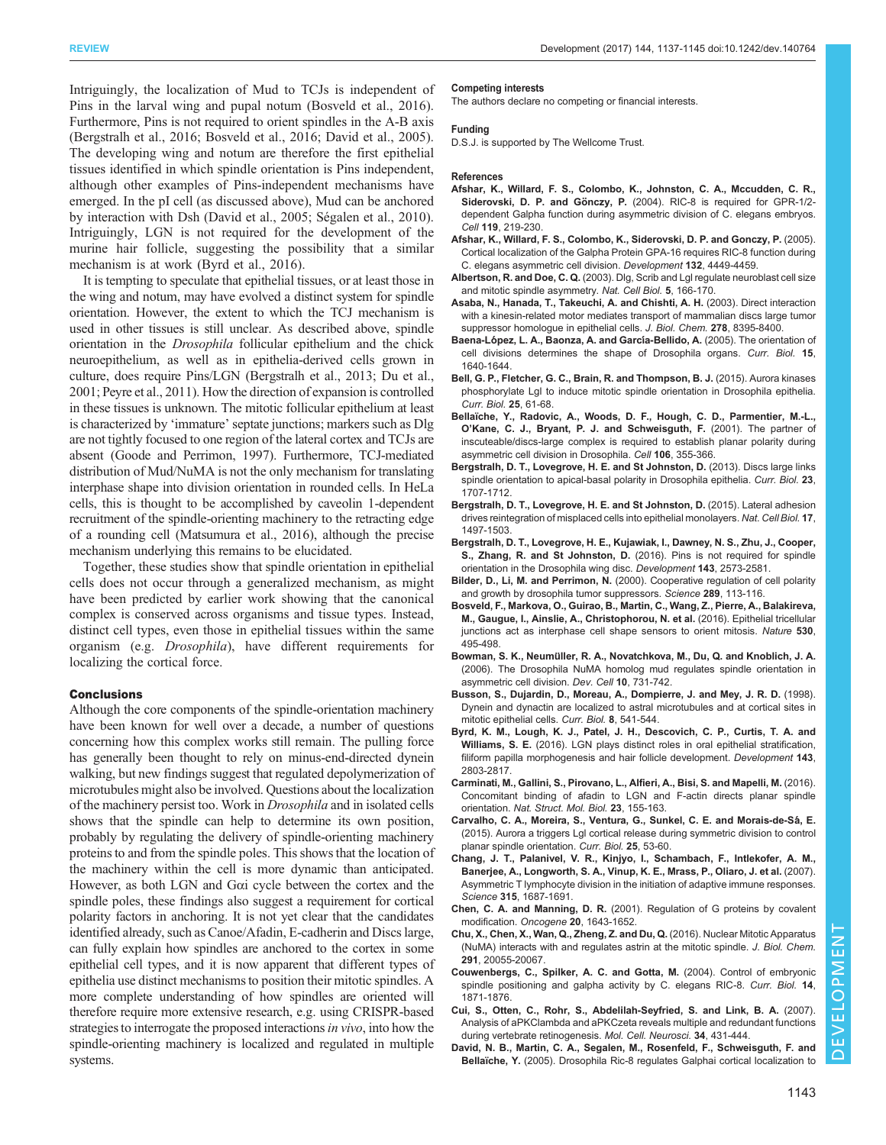<span id="page-6-0"></span>Intriguingly, the localization of Mud to TCJs is independent of Pins in the larval wing and pupal notum (Bosveld et al., 2016). Furthermore, Pins is not required to orient spindles in the A-B axis (Bergstralh et al., 2016; Bosveld et al., 2016; David et al., 2005). The developing wing and notum are therefore the first epithelial tissues identified in which spindle orientation is Pins independent, although other examples of Pins-independent mechanisms have emerged. In the pI cell (as discussed above), Mud can be anchored by interaction with Dsh (David et al., 2005; [Ségalen et al., 2010\)](#page-8-0). Intriguingly, LGN is not required for the development of the murine hair follicle, suggesting the possibility that a similar mechanism is at work (Byrd et al., 2016).

It is tempting to speculate that epithelial tissues, or at least those in the wing and notum, may have evolved a distinct system for spindle orientation. However, the extent to which the TCJ mechanism is used in other tissues is still unclear. As described above, spindle orientation in the Drosophila follicular epithelium and the chick neuroepithelium, as well as in epithelia-derived cells grown in culture, does require Pins/LGN (Bergstralh et al., 2013; [Du et al.,](#page-7-0) [2001;](#page-7-0) [Peyre et al., 2011\)](#page-8-0). How the direction of expansion is controlled in these tissues is unknown. The mitotic follicular epithelium at least is characterized by 'immature' septate junctions; markers such as Dlg are not tightly focused to one region of the lateral cortex and TCJs are absent [\(Goode and Perrimon, 1997](#page-7-0)). Furthermore, TCJ-mediated distribution of Mud/NuMA is not the only mechanism for translating interphase shape into division orientation in rounded cells. In HeLa cells, this is thought to be accomplished by caveolin 1-dependent recruitment of the spindle-orienting machinery to the retracting edge of a rounding cell [\(Matsumura et al., 2016\)](#page-7-0), although the precise mechanism underlying this remains to be elucidated.

Together, these studies show that spindle orientation in epithelial cells does not occur through a generalized mechanism, as might have been predicted by earlier work showing that the canonical complex is conserved across organisms and tissue types. Instead, distinct cell types, even those in epithelial tissues within the same organism (e.g. Drosophila), have different requirements for localizing the cortical force.

#### **Conclusions**

Although the core components of the spindle-orientation machinery have been known for well over a decade, a number of questions concerning how this complex works still remain. The pulling force has generally been thought to rely on minus-end-directed dynein walking, but new findings suggest that regulated depolymerization of microtubules might also be involved. Questions about the localization of the machinery persist too. Work in Drosophila and in isolated cells shows that the spindle can help to determine its own position, probably by regulating the delivery of spindle-orienting machinery proteins to and from the spindle poles. This shows that the location of the machinery within the cell is more dynamic than anticipated. However, as both LGN and Gαi cycle between the cortex and the spindle poles, these findings also suggest a requirement for cortical polarity factors in anchoring. It is not yet clear that the candidates identified already, such as Canoe/Afadin, E-cadherin and Discs large, can fully explain how spindles are anchored to the cortex in some epithelial cell types, and it is now apparent that different types of epithelia use distinct mechanisms to position their mitotic spindles. A more complete understanding of how spindles are oriented will therefore require more extensive research, e.g. using CRISPR-based strategies to interrogate the proposed interactions in vivo, into how the spindle-orienting machinery is localized and regulated in multiple systems.

#### Competing interests

The authors declare no competing or financial interests.

#### Funding

D.S.J. is supported by The Wellcome Trust.

#### References

- [Afshar, K., Willard, F. S., Colombo, K., Johnston, C. A., Mccudden, C. R.,](http://dx.doi.org/10.1016/j.cell.2004.09.026) Siderovski, D. P. and Gönczy, P. [\(2004\). RIC-8 is required for GPR-1/2](http://dx.doi.org/10.1016/j.cell.2004.09.026) [dependent Galpha function during asymmetric division of C. elegans embryos.](http://dx.doi.org/10.1016/j.cell.2004.09.026) Cell 119[, 219-230.](http://dx.doi.org/10.1016/j.cell.2004.09.026)
- [Afshar, K., Willard, F. S., Colombo, K., Siderovski, D. P. and Gonczy, P.](http://dx.doi.org/10.1242/dev.02039) (2005). [Cortical localization of the Galpha Protein GPA-16 requires RIC-8 function during](http://dx.doi.org/10.1242/dev.02039) [C. elegans asymmetric cell division.](http://dx.doi.org/10.1242/dev.02039) Development 132, 4449-4459.
- Albertson, R. and Doe, C. Q. [\(2003\). Dlg, Scrib and Lgl regulate neuroblast cell size](http://dx.doi.org/10.1038/ncb922) [and mitotic spindle asymmetry.](http://dx.doi.org/10.1038/ncb922) Nat. Cell Biol. 5, 166-170.
- [Asaba, N., Hanada, T., Takeuchi, A. and Chishti, A. H.](http://dx.doi.org/10.1074/jbc.M210362200) (2003). Direct interaction [with a kinesin-related motor mediates transport of mammalian discs large tumor](http://dx.doi.org/10.1074/jbc.M210362200) [suppressor homologue in epithelial cells.](http://dx.doi.org/10.1074/jbc.M210362200) J. Biol. Chem. 278, 8395-8400.
- Baena-Ló[pez, L. A., Baonza, A. and Garc](http://dx.doi.org/10.1016/j.cub.2005.07.062)ía-Bellido, A. (2005). The orientation of [cell divisions determines the shape of Drosophila organs.](http://dx.doi.org/10.1016/j.cub.2005.07.062) Curr. Biol. 15, [1640-1644.](http://dx.doi.org/10.1016/j.cub.2005.07.062)
- [Bell, G. P., Fletcher, G. C., Brain, R. and Thompson, B. J.](http://dx.doi.org/10.1016/j.cub.2014.10.052) (2015). Aurora kinases [phosphorylate Lgl to induce mitotic spindle orientation in Drosophila epithelia.](http://dx.doi.org/10.1016/j.cub.2014.10.052) [Curr. Biol.](http://dx.doi.org/10.1016/j.cub.2014.10.052) 25, 61-68.
- [Bellaïche, Y., Radovic, A., Woods, D. F., Hough, C. D., Parmentier, M.-L.,](http://dx.doi.org/10.1016/S0092-8674(01)00444-5) O'[Kane, C. J., Bryant, P. J. and Schweisguth, F.](http://dx.doi.org/10.1016/S0092-8674(01)00444-5) (2001). The partner of [inscuteable/discs-large complex is required to establish planar polarity during](http://dx.doi.org/10.1016/S0092-8674(01)00444-5) [asymmetric cell division in Drosophila.](http://dx.doi.org/10.1016/S0092-8674(01)00444-5) Cell 106, 355-366.
- [Bergstralh, D. T., Lovegrove, H. E. and St Johnston, D.](http://dx.doi.org/10.1016/j.cub.2013.07.017) (2013). Discs large links [spindle orientation to apical-basal polarity in Drosophila epithelia.](http://dx.doi.org/10.1016/j.cub.2013.07.017) Curr. Biol. 23, [1707-1712.](http://dx.doi.org/10.1016/j.cub.2013.07.017)
- [Bergstralh, D. T., Lovegrove, H. E. and St Johnston, D.](http://dx.doi.org/10.1038/ncb3248) (2015). Lateral adhesion [drives reintegration of misplaced cells into epithelial monolayers.](http://dx.doi.org/10.1038/ncb3248) Nat. Cell Biol. 17, [1497-1503.](http://dx.doi.org/10.1038/ncb3248)
- [Bergstralh, D. T., Lovegrove, H. E., Kujawiak, I., Dawney, N. S., Zhu, J., Cooper,](http://dx.doi.org/10.1242/dev.135475) S., Zhang, R. and St Johnston, D. [\(2016\). Pins is not required for spindle](http://dx.doi.org/10.1242/dev.135475) [orientation in the Drosophila wing disc.](http://dx.doi.org/10.1242/dev.135475) Development 143, 2573-2581.
- Bilder, D., Li, M. and Perrimon, N. [\(2000\). Cooperative regulation of cell polarity](http://dx.doi.org/10.1126/science.289.5476.113) [and growth by drosophila tumor suppressors.](http://dx.doi.org/10.1126/science.289.5476.113) Science 289, 113-116.
- [Bosveld, F., Markova, O., Guirao, B., Martin, C., Wang, Z., Pierre, A., Balakireva,](http://dx.doi.org/10.1038/nature16970) [M., Gaugue, I., Ainslie, A., Christophorou, N. et al.](http://dx.doi.org/10.1038/nature16970) (2016). Epithelial tricellular [junctions act as interphase cell shape sensors to orient mitosis.](http://dx.doi.org/10.1038/nature16970) Nature 530, [495-498.](http://dx.doi.org/10.1038/nature16970)
- Bowman, S. K., Neumü[ller, R. A., Novatchkova, M., Du, Q. and Knoblich, J. A.](http://dx.doi.org/10.1016/j.devcel.2006.05.005) [\(2006\). The Drosophila NuMA homolog mud regulates spindle orientation in](http://dx.doi.org/10.1016/j.devcel.2006.05.005) [asymmetric cell division.](http://dx.doi.org/10.1016/j.devcel.2006.05.005) Dev. Cell 10, 731-742.
- [Busson, S., Dujardin, D., Moreau, A., Dompierre, J. and Mey, J. R. D.](http://dx.doi.org/10.1016/S0960-9822(98)70208-8) (1998). [Dynein and dynactin are localized to astral microtubules and at cortical sites in](http://dx.doi.org/10.1016/S0960-9822(98)70208-8) [mitotic epithelial cells.](http://dx.doi.org/10.1016/S0960-9822(98)70208-8) Curr. Biol. 8, 541-544.
- [Byrd, K. M., Lough, K. J., Patel, J. H., Descovich, C. P., Curtis, T. A. and](http://dx.doi.org/10.1242/dev.136010) Williams, S. E. [\(2016\). LGN plays distinct roles in oral epithelial stratification,](http://dx.doi.org/10.1242/dev.136010) [filiform papilla morphogenesis and hair follicle development.](http://dx.doi.org/10.1242/dev.136010) Development 143, [2803-2817.](http://dx.doi.org/10.1242/dev.136010)
- [Carminati, M., Gallini, S., Pirovano, L., Alfieri, A., Bisi, S. and Mapelli, M.](http://dx.doi.org/10.1038/nsmb.3152) (2016). [Concomitant binding of afadin to LGN and F-actin directs planar spindle](http://dx.doi.org/10.1038/nsmb.3152) orientation. [Nat. Struct. Mol. Biol.](http://dx.doi.org/10.1038/nsmb.3152) 23, 155-163.
- Carvalho, C. A., Moreira, S., Ventura, G., Sunkel, C. E. and Morais-de-Sá, E. [\(2015\). Aurora a triggers Lgl cortical release during symmetric division to control](http://dx.doi.org/10.1016/j.cub.2014.10.053) [planar spindle orientation.](http://dx.doi.org/10.1016/j.cub.2014.10.053) Curr. Biol. 25, 53-60.
- [Chang, J. T., Palanivel, V. R., Kinjyo, I., Schambach, F., Intlekofer, A. M.,](http://dx.doi.org/10.1126/science.1139393) [Banerjee, A., Longworth, S. A., Vinup, K. E., Mrass, P., Oliaro, J. et al.](http://dx.doi.org/10.1126/science.1139393) (2007). [Asymmetric T lymphocyte division in the initiation of adaptive immune responses.](http://dx.doi.org/10.1126/science.1139393) Science 315[, 1687-1691.](http://dx.doi.org/10.1126/science.1139393)
- Chen, C. A. and Manning, D. R. [\(2001\). Regulation of G proteins by covalent](http://dx.doi.org/10.1038/sj.onc.1204185) modification. Oncogene 20[, 1643-1652.](http://dx.doi.org/10.1038/sj.onc.1204185)
- [Chu, X., Chen, X., Wan, Q., Zheng, Z. and Du, Q.](http://dx.doi.org/10.1074/jbc.M116.724831) (2016). Nuclear Mitotic Apparatus [\(NuMA\) interacts with and regulates astrin at the mitotic spindle.](http://dx.doi.org/10.1074/jbc.M116.724831) J. Biol. Chem. 291[, 20055-20067.](http://dx.doi.org/10.1074/jbc.M116.724831)
- [Couwenbergs, C., Spilker, A. C. and Gotta, M.](http://dx.doi.org/10.1016/j.cub.2004.09.059) (2004). Control of embryonic [spindle positioning and galpha activity by C. elegans RIC-8.](http://dx.doi.org/10.1016/j.cub.2004.09.059) Curr. Biol. 14, [1871-1876.](http://dx.doi.org/10.1016/j.cub.2004.09.059)
- [Cui, S., Otten, C., Rohr, S., Abdelilah-Seyfried, S. and Link, B. A.](http://dx.doi.org/10.1016/j.mcn.2006.11.016) (2007). [Analysis of aPKClambda and aPKCzeta reveals multiple and redundant functions](http://dx.doi.org/10.1016/j.mcn.2006.11.016) [during vertebrate retinogenesis.](http://dx.doi.org/10.1016/j.mcn.2006.11.016) Mol. Cell. Neurosci. 34, 431-444.
- [David, N. B., Martin, C. A., Segalen, M., Rosenfeld, F., Schweisguth, F. and](http://dx.doi.org/10.1038/ncb1319) Bellaïche, Y. [\(2005\). Drosophila Ric-8 regulates Galphai cortical localization to](http://dx.doi.org/10.1038/ncb1319)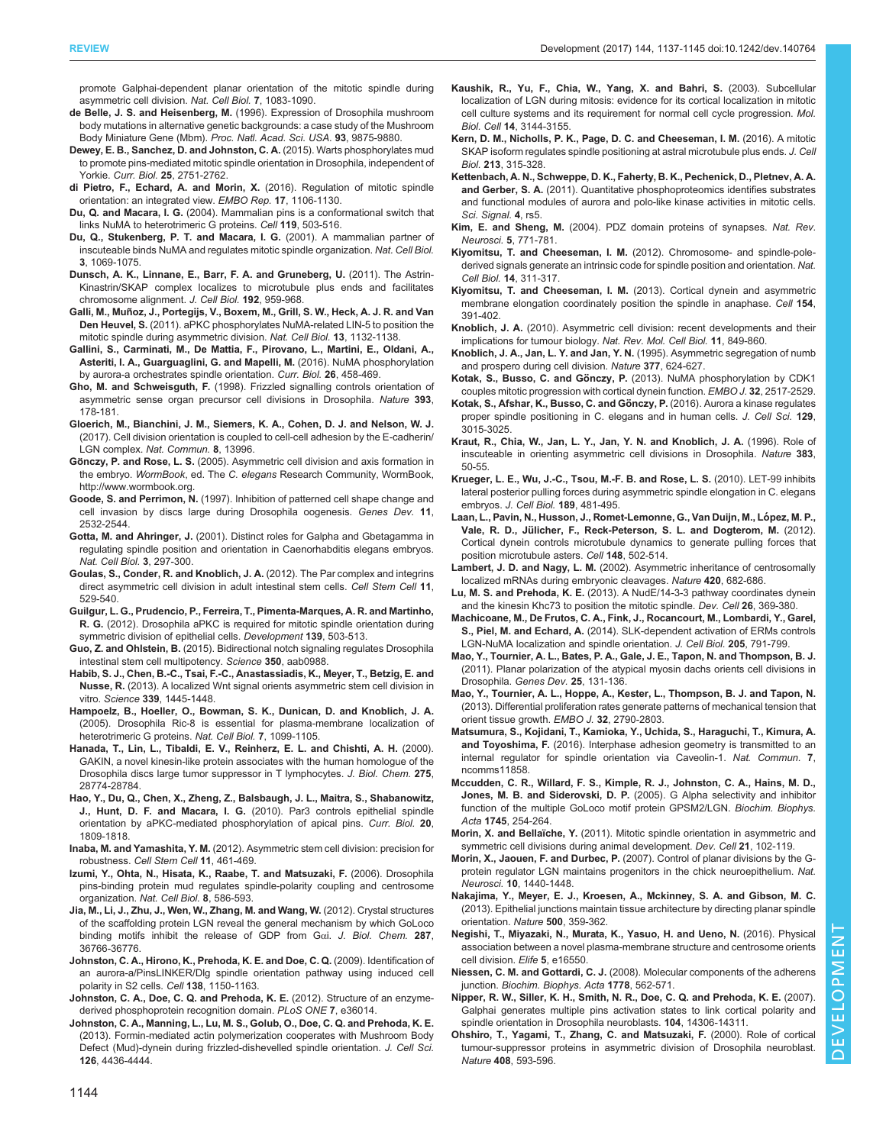<span id="page-7-0"></span>[promote Galphai-dependent planar orientation of the mitotic spindle during](http://dx.doi.org/10.1038/ncb1319) [asymmetric cell division.](http://dx.doi.org/10.1038/ncb1319) Nat. Cell Biol. 7, 1083-1090.

- de Belle, J. S. and Heisenberg, M. (1996). Expression of Drosophila mushroom body mutations in alternative genetic backgrounds: a case study of the Mushroom Body Miniature Gene (Mbm). Proc. Natl. Acad. Sci. USA. 93, 9875-9880.
- [Dewey, E. B., Sanchez, D. and Johnston, C. A.](http://dx.doi.org/10.1016/j.cub.2015.09.025) (2015). Warts phosphorylates mud [to promote pins-mediated mitotic spindle orientation in Drosophila, independent of](http://dx.doi.org/10.1016/j.cub.2015.09.025) Yorkie. Curr. Biol. 25[, 2751-2762.](http://dx.doi.org/10.1016/j.cub.2015.09.025)
- [di Pietro, F., Echard, A. and Morin, X.](http://dx.doi.org/10.15252/embr.201642292) (2016). Regulation of mitotic spindle [orientation: an integrated view.](http://dx.doi.org/10.15252/embr.201642292) EMBO Rep. 17, 1106-1130.
- Du, Q. and Macara, I. G. [\(2004\). Mammalian pins is a conformational switch that](http://dx.doi.org/10.1016/j.cell.2004.10.028) [links NuMA to heterotrimeric G proteins.](http://dx.doi.org/10.1016/j.cell.2004.10.028) Cell 119, 503-516.
- [Du, Q., Stukenberg, P. T. and Macara, I. G.](http://dx.doi.org/10.1038/ncb1201-1069) (2001). A mammalian partner of [inscuteable binds NuMA and regulates mitotic spindle organization.](http://dx.doi.org/10.1038/ncb1201-1069) Nat. Cell Biol. 3[, 1069-1075.](http://dx.doi.org/10.1038/ncb1201-1069)
- [Dunsch, A. K., Linnane, E., Barr, F. A. and Gruneberg, U.](http://dx.doi.org/10.1083/jcb.201008023) (2011). The Astrin-[Kinastrin/SKAP complex localizes to microtubule plus ends and facilitates](http://dx.doi.org/10.1083/jcb.201008023) [chromosome alignment.](http://dx.doi.org/10.1083/jcb.201008023) J. Cell Biol. 192, 959-968.
- Galli, M., Muñ[oz, J., Portegijs, V., Boxem, M., Grill, S. W., Heck, A. J. R. and Van](http://dx.doi.org/10.1038/ncb2315) Den Heuvel, S. [\(2011\). aPKC phosphorylates NuMA-related LIN-5 to position the](http://dx.doi.org/10.1038/ncb2315) [mitotic spindle during asymmetric division.](http://dx.doi.org/10.1038/ncb2315) Nat. Cell Biol. 13, 1132-1138.
- [Gallini, S., Carminati, M., De Mattia, F., Pirovano, L., Martini, E., Oldani, A.,](http://dx.doi.org/10.1016/j.cub.2015.12.051) [Asteriti, I. A., Guarguaglini, G. and Mapelli, M.](http://dx.doi.org/10.1016/j.cub.2015.12.051) (2016). NuMA phosphorylation [by aurora-a orchestrates spindle orientation.](http://dx.doi.org/10.1016/j.cub.2015.12.051) Curr. Biol. 26, 458-469.
- Gho, M. and Schweisguth, F. [\(1998\). Frizzled signalling controls orientation of](http://dx.doi.org/10.1038/30265) [asymmetric sense organ precursor cell divisions in Drosophila.](http://dx.doi.org/10.1038/30265) Nature 393, [178-181.](http://dx.doi.org/10.1038/30265)
- [Gloerich, M., Bianchini, J. M., Siemers, K. A., Cohen, D. J. and Nelson, W. J.](http://dx.doi.org/10.1038/ncomms13996) [\(2017\). Cell division orientation is coupled to cell-cell adhesion by the E-cadherin/](http://dx.doi.org/10.1038/ncomms13996) LGN complex. [Nat. Commun.](http://dx.doi.org/10.1038/ncomms13996) 8, 13996.
- Gönczy, P. and Rose, L. S. [\(2005\). Asymmetric cell division and axis formation in](http://dx.doi.org/10.1895/wormbook.1.30.1) the embryo. WormBook, ed. The C. elegans [Research Community, WormBook,](http://dx.doi.org/10.1895/wormbook.1.30.1) [http://www.wormbook.org.](http://dx.doi.org/10.1895/wormbook.1.30.1)
- Goode, S. and Perrimon, N. [\(1997\). Inhibition of patterned cell shape change and](http://dx.doi.org/10.1101/gad.11.19.2532) [cell invasion by discs large during Drosophila oogenesis.](http://dx.doi.org/10.1101/gad.11.19.2532) Genes Dev. 11, [2532-2544.](http://dx.doi.org/10.1101/gad.11.19.2532)
- Gotta, M. and Ahringer, J. [\(2001\). Distinct roles for Galpha and Gbetagamma in](http://dx.doi.org/10.1038/35060092) [regulating spindle position and orientation in Caenorhabditis elegans embryos.](http://dx.doi.org/10.1038/35060092) [Nat. Cell Biol.](http://dx.doi.org/10.1038/35060092) 3, 297-300.
- [Goulas, S., Conder, R. and Knoblich, J. A.](http://dx.doi.org/10.1016/j.stem.2012.06.017) (2012). The Par complex and integrins [direct asymmetric cell division in adult intestinal stem cells.](http://dx.doi.org/10.1016/j.stem.2012.06.017) Cell Stem Cell 11, [529-540.](http://dx.doi.org/10.1016/j.stem.2012.06.017)
- [Guilgur, L. G., Prudencio, P., Ferreira, T., Pimenta-Marques, A. R. and Martinho,](http://dx.doi.org/10.1242/dev.071027) R. G. [\(2012\). Drosophila aPKC is required for mitotic spindle orientation during](http://dx.doi.org/10.1242/dev.071027) [symmetric division of epithelial cells.](http://dx.doi.org/10.1242/dev.071027) Development 139, 503-513.
- Guo, Z. and Ohlstein, B. [\(2015\). Bidirectional notch signaling regulates Drosophila](http://dx.doi.org/10.1126/science.aab0988) [intestinal stem cell multipotency.](http://dx.doi.org/10.1126/science.aab0988) Science 350, aab0988.
- [Habib, S. J., Chen, B.-C., Tsai, F.-C., Anastassiadis, K., Meyer, T., Betzig, E. and](http://dx.doi.org/10.1126/science.1231077) Nusse, R. [\(2013\). A localized Wnt signal orients asymmetric stem cell division in](http://dx.doi.org/10.1126/science.1231077) vitro. Science 339[, 1445-1448.](http://dx.doi.org/10.1126/science.1231077)
- [Hampoelz, B., Hoeller, O., Bowman, S. K., Dunican, D. and Knoblich, J. A.](http://dx.doi.org/10.1038/ncb1318) [\(2005\). Drosophila Ric-8 is essential for plasma-membrane localization of](http://dx.doi.org/10.1038/ncb1318) [heterotrimeric G proteins.](http://dx.doi.org/10.1038/ncb1318) Nat. Cell Biol. 7, 1099-1105.
- [Hanada, T., Lin, L., Tibaldi, E. V., Reinherz, E. L. and Chishti, A. H.](http://dx.doi.org/10.1074/jbc.M000715200) (2000). [GAKIN, a novel kinesin-like protein associates with the human homologue of the](http://dx.doi.org/10.1074/jbc.M000715200) [Drosophila discs large tumor suppressor in T lymphocytes.](http://dx.doi.org/10.1074/jbc.M000715200) J. Biol. Chem. 275, [28774-28784.](http://dx.doi.org/10.1074/jbc.M000715200)
- [Hao, Y., Du, Q., Chen, X., Zheng, Z., Balsbaugh, J. L., Maitra, S., Shabanowitz,](http://dx.doi.org/10.1016/j.cub.2010.09.032) J., Hunt, D. F. and Macara, I. G. [\(2010\). Par3 controls epithelial spindle](http://dx.doi.org/10.1016/j.cub.2010.09.032) [orientation by aPKC-mediated phosphorylation of apical pins.](http://dx.doi.org/10.1016/j.cub.2010.09.032) Curr. Biol. 20, [1809-1818.](http://dx.doi.org/10.1016/j.cub.2010.09.032)
- Inaba, M. and Yamashita, Y. M. [\(2012\). Asymmetric stem cell division: precision for](http://dx.doi.org/10.1016/j.stem.2012.09.003) robustness. [Cell Stem Cell](http://dx.doi.org/10.1016/j.stem.2012.09.003) 11, 461-469.
- [Izumi, Y., Ohta, N., Hisata, K., Raabe, T. and Matsuzaki, F.](http://dx.doi.org/10.1038/ncb1409) (2006). Drosophila [pins-binding protein mud regulates spindle-polarity coupling and centrosome](http://dx.doi.org/10.1038/ncb1409) organization. [Nat. Cell Biol.](http://dx.doi.org/10.1038/ncb1409) 8, 586-593.
- [Jia, M., Li, J., Zhu, J., Wen, W., Zhang, M. and Wang, W.](http://dx.doi.org/10.1074/jbc.M112.391607) (2012). Crystal structures [of the scaffolding protein LGN reveal the general mechanism by which GoLoco](http://dx.doi.org/10.1074/jbc.M112.391607) [binding motifs inhibit the release of GDP from G](http://dx.doi.org/10.1074/jbc.M112.391607)αi. J. Biol. Chem. 287, [36766-36776.](http://dx.doi.org/10.1074/jbc.M112.391607)
- [Johnston, C. A., Hirono, K., Prehoda, K. E. and Doe, C. Q.](http://dx.doi.org/10.1016/j.cell.2009.07.041) (2009). Identification of [an aurora-a/PinsLINKER/Dlg spindle orientation pathway using induced cell](http://dx.doi.org/10.1016/j.cell.2009.07.041) [polarity in S2 cells.](http://dx.doi.org/10.1016/j.cell.2009.07.041) Cell 138, 1150-1163.
- [Johnston, C. A., Doe, C. Q. and Prehoda, K. E.](http://dx.doi.org/10.1371/journal.pone.0036014) (2012). Structure of an enzyme[derived phosphoprotein recognition domain.](http://dx.doi.org/10.1371/journal.pone.0036014) PLoS ONE 7, e36014.
- [Johnston, C. A., Manning, L., Lu, M. S., Golub, O., Doe, C. Q. and Prehoda, K. E.](http://dx.doi.org/10.1242/jcs.129544) [\(2013\). Formin-mediated actin polymerization cooperates with Mushroom Body](http://dx.doi.org/10.1242/jcs.129544) [Defect \(Mud\)-dynein during frizzled-dishevelled spindle orientation.](http://dx.doi.org/10.1242/jcs.129544) J. Cell Sci. 126[, 4436-4444.](http://dx.doi.org/10.1242/jcs.129544)
- [Kaushik, R., Yu, F., Chia, W., Yang, X. and Bahri, S.](http://dx.doi.org/10.1091/mbc.E03-04-0212) (2003). Subcellular [localization of LGN during mitosis: evidence for its cortical localization in mitotic](http://dx.doi.org/10.1091/mbc.E03-04-0212) [cell culture systems and its requirement for normal cell cycle progression.](http://dx.doi.org/10.1091/mbc.E03-04-0212) Mol. Biol. Cell 14[, 3144-3155.](http://dx.doi.org/10.1091/mbc.E03-04-0212)
- [Kern, D. M., Nicholls, P. K., Page, D. C. and Cheeseman, I. M.](http://dx.doi.org/10.1083/jcb.201510117) (2016). A mitotic [SKAP isoform regulates spindle positioning at astral microtubule plus ends.](http://dx.doi.org/10.1083/jcb.201510117) J. Cell Biol. 213[, 315-328.](http://dx.doi.org/10.1083/jcb.201510117)
- [Kettenbach, A. N., Schweppe, D. K., Faherty, B. K., Pechenick, D., Pletnev, A. A.](http://dx.doi.org/10.1126/scisignal.2001497) and Gerber, S. A. [\(2011\). Quantitative phosphoproteomics identifies substrates](http://dx.doi.org/10.1126/scisignal.2001497) [and functional modules of aurora and polo-like kinase activities in mitotic cells.](http://dx.doi.org/10.1126/scisignal.2001497) [Sci. Signal.](http://dx.doi.org/10.1126/scisignal.2001497) 4, rs5.
- Kim, E. and Sheng, M. [\(2004\). PDZ domain proteins of synapses.](http://dx.doi.org/10.1038/nrn1517) Nat. Rev. Neurosci. 5[, 771-781.](http://dx.doi.org/10.1038/nrn1517)
- Kiyomitsu, T. and Cheeseman, I. M. [\(2012\). Chromosome- and spindle-pole](http://dx.doi.org/10.1038/ncb2440)[derived signals generate an intrinsic code for spindle position and orientation.](http://dx.doi.org/10.1038/ncb2440) Nat. Cell Biol. 14[, 311-317.](http://dx.doi.org/10.1038/ncb2440)
- Kiyomitsu, T. and Cheeseman, I. M. [\(2013\). Cortical dynein and asymmetric](http://dx.doi.org/10.1016/j.cell.2013.06.010) [membrane elongation coordinately position the spindle in anaphase.](http://dx.doi.org/10.1016/j.cell.2013.06.010) Cell 154, [391-402.](http://dx.doi.org/10.1016/j.cell.2013.06.010)
- Knoblich, J. A. [\(2010\). Asymmetric cell division: recent developments and their](http://dx.doi.org/10.1038/nrm3010) [implications for tumour biology.](http://dx.doi.org/10.1038/nrm3010) Nat. Rev. Mol. Cell Biol. 11, 849-860.
- [Knoblich, J. A., Jan, L. Y. and Jan, Y. N.](http://dx.doi.org/10.1038/377624a0) (1995). Asymmetric segregation of numb [and prospero during cell division.](http://dx.doi.org/10.1038/377624a0) Nature 377, 624-627.
- Kotak, S., Busso, C. and Gönczy, P. [\(2013\). NuMA phosphorylation by CDK1](http://dx.doi.org/10.1038/emboj.2013.172) [couples mitotic progression with cortical dynein function.](http://dx.doi.org/10.1038/emboj.2013.172) EMBO J. 32, 2517-2529.
- Kotak, S., Afshar, K., Busso, C. and Gönczy, P. (2016). Aurora a kinase regulates [proper spindle positioning in C. elegans and in human cells.](http://dx.doi.org/10.1242/jcs.184416) J. Cell Sci. 129, [3015-3025.](http://dx.doi.org/10.1242/jcs.184416)
- [Kraut, R., Chia, W., Jan, L. Y., Jan, Y. N. and Knoblich, J. A.](http://dx.doi.org/10.1038/383050a0) (1996). Role of [inscuteable in orienting asymmetric cell divisions in Drosophila.](http://dx.doi.org/10.1038/383050a0) Nature 383, [50-55.](http://dx.doi.org/10.1038/383050a0)
- [Krueger, L. E., Wu, J.-C., Tsou, M.-F. B. and Rose, L. S.](http://dx.doi.org/10.1083/jcb.201001115) (2010). LET-99 inhibits [lateral posterior pulling forces during asymmetric spindle elongation in C. elegans](http://dx.doi.org/10.1083/jcb.201001115) embryos. [J. Cell Biol.](http://dx.doi.org/10.1083/jcb.201001115) 189, 481-495.
- Laan, L., Pavin, N., Husson, J., Romet-Lemonne, G., Van Duijn, M., López, M. P., Vale, R. D., Jü[licher, F., Reck-Peterson, S. L. and Dogterom, M.](http://dx.doi.org/10.1016/j.cell.2012.01.007) (2012). [Cortical dynein controls microtubule dynamics to generate pulling forces that](http://dx.doi.org/10.1016/j.cell.2012.01.007) [position microtubule asters.](http://dx.doi.org/10.1016/j.cell.2012.01.007) Cell 148, 502-514.
- Lambert, J. D. and Nagy, L. M. [\(2002\). Asymmetric inheritance of centrosomally](http://dx.doi.org/10.1038/nature01241) [localized mRNAs during embryonic cleavages.](http://dx.doi.org/10.1038/nature01241) Nature 420, 682-686.
- Lu, M. S. and Prehoda, K. E. [\(2013\). A NudE/14-3-3 pathway coordinates dynein](http://dx.doi.org/10.1016/j.devcel.2013.07.021) [and the kinesin Khc73 to position the mitotic spindle.](http://dx.doi.org/10.1016/j.devcel.2013.07.021) Dev. Cell 26, 369-380.
- [Machicoane, M., De Frutos, C. A., Fink, J., Rocancourt, M., Lombardi, Y., Garel,](http://dx.doi.org/10.1083/jcb.201401049) S., Piel, M. and Echard, A. [\(2014\). SLK-dependent activation of ERMs controls](http://dx.doi.org/10.1083/jcb.201401049) [LGN-NuMA localization and spindle orientation.](http://dx.doi.org/10.1083/jcb.201401049) J. Cell Biol. 205, 791-799.
- [Mao, Y., Tournier, A. L., Bates, P. A., Gale, J. E., Tapon, N. and Thompson, B. J.](http://dx.doi.org/10.1101/gad.610511) [\(2011\). Planar polarization of the atypical myosin dachs orients cell divisions in](http://dx.doi.org/10.1101/gad.610511) Drosophila. [Genes Dev.](http://dx.doi.org/10.1101/gad.610511) 25, 131-136.
- [Mao, Y., Tournier, A. L., Hoppe, A., Kester, L., Thompson, B. J. and Tapon, N.](http://dx.doi.org/10.1038/emboj.2013.197) [\(2013\). Differential proliferation rates generate patterns of mechanical tension that](http://dx.doi.org/10.1038/emboj.2013.197) [orient tissue growth.](http://dx.doi.org/10.1038/emboj.2013.197) EMBO J. 32, 2790-2803.
- [Matsumura, S., Kojidani, T., Kamioka, Y., Uchida, S., Haraguchi, T., Kimura, A.](http://dx.doi.org/10.1038/ncomms11858) and Toyoshima, F. [\(2016\). Interphase adhesion geometry is transmitted to an](http://dx.doi.org/10.1038/ncomms11858) [internal regulator for spindle orientation via Caveolin-1.](http://dx.doi.org/10.1038/ncomms11858) Nat. Commun. 7, [ncomms11858.](http://dx.doi.org/10.1038/ncomms11858)
- [Mccudden, C. R., Willard, F. S., Kimple, R. J., Johnston, C. A., Hains, M. D.,](http://dx.doi.org/10.1016/j.bbamcr.2005.05.002) Jones, M. B. and Siderovski, D. P. [\(2005\). G Alpha selectivity and inhibitor](http://dx.doi.org/10.1016/j.bbamcr.2005.05.002) [function of the multiple GoLoco motif protein GPSM2/LGN.](http://dx.doi.org/10.1016/j.bbamcr.2005.05.002) Biochim. Biophys. Acta 1745[, 254-264.](http://dx.doi.org/10.1016/j.bbamcr.2005.05.002)
- Morin, X. and Bellaïche, Y. [\(2011\). Mitotic spindle orientation in asymmetric and](http://dx.doi.org/10.1016/j.devcel.2011.06.012) [symmetric cell divisions during animal development.](http://dx.doi.org/10.1016/j.devcel.2011.06.012) Dev. Cell 21, 102-119.
- Morin, X., Jaouen, F. and Durbec, P. [\(2007\). Control of planar divisions by the G](http://dx.doi.org/10.1038/nn1984)[protein regulator LGN maintains progenitors in the chick neuroepithelium.](http://dx.doi.org/10.1038/nn1984) Nat. Neurosci. 10[, 1440-1448.](http://dx.doi.org/10.1038/nn1984)
- [Nakajima, Y., Meyer, E. J., Kroesen, A., Mckinney, S. A. and Gibson, M. C.](http://dx.doi.org/10.1038/nature12335) [\(2013\). Epithelial junctions maintain tissue architecture by directing planar spindle](http://dx.doi.org/10.1038/nature12335) [orientation.](http://dx.doi.org/10.1038/nature12335) Nature 500, 359-362.
- [Negishi, T., Miyazaki, N., Murata, K., Yasuo, H. and Ueno, N.](http://dx.doi.org/10.7554/eLife.16550) (2016). Physical [association between a novel plasma-membrane structure and centrosome orients](http://dx.doi.org/10.7554/eLife.16550) [cell division.](http://dx.doi.org/10.7554/eLife.16550) Elife 5, e16550.
- Niessen, C. M. and Gottardi, C. J. [\(2008\). Molecular components of the adherens](http://dx.doi.org/10.1016/j.bbamem.2007.12.015) junction. [Biochim. Biophys. Acta](http://dx.doi.org/10.1016/j.bbamem.2007.12.015) 1778, 562-571.
- Nipper, R. W., Siller, K. H., Smith, N. R., Doe, C. Q. and Prehoda, K. E. (2007). Galphai generates multiple pins activation states to link cortical polarity and spindle orientation in Drosophila neuroblasts. 104, 14306-14311.
- [Ohshiro, T., Yagami, T., Zhang, C. and Matsuzaki, F.](http://dx.doi.org/10.1038/35046087) (2000). Role of cortical [tumour-suppressor proteins in asymmetric division of Drosophila neuroblast.](http://dx.doi.org/10.1038/35046087) Nature 408[, 593-596.](http://dx.doi.org/10.1038/35046087)

 $\overline{E}$